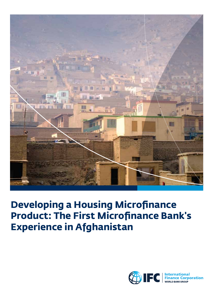

# **Developing a Housing Microfinance Product: The First Microfinance Bank's Experience in Afghanistan**

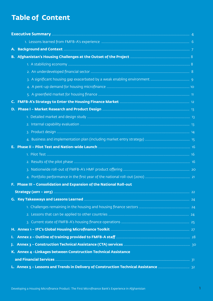## **Table of Content**

| $\mathsf{C}$ . |                                                                     |  |
|----------------|---------------------------------------------------------------------|--|
|                |                                                                     |  |
|                |                                                                     |  |
|                |                                                                     |  |
|                |                                                                     |  |
|                |                                                                     |  |
|                |                                                                     |  |
|                |                                                                     |  |
|                |                                                                     |  |
|                |                                                                     |  |
|                |                                                                     |  |
|                | F. Phase III - Consolidation and Expansion of the National Roll-out |  |
|                |                                                                     |  |
|                |                                                                     |  |
|                |                                                                     |  |
|                |                                                                     |  |
|                |                                                                     |  |
|                |                                                                     |  |
|                |                                                                     |  |
|                |                                                                     |  |
|                | K. Annex 4 - Linkages between Construction Technical Assistance     |  |
|                |                                                                     |  |
|                |                                                                     |  |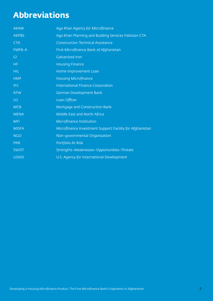# **Abbreviations**

| <b>AKAM</b>  | Aga Khan Agency for Microfinance                         |
|--------------|----------------------------------------------------------|
| <b>AKPBS</b> | Aga Khan Planning and Building Services Pakistan CTA     |
| <b>CTA</b>   | <b>Construction Technical Assistance</b>                 |
| FMFB-A       | First Microfinance Bank of Afghanistan                   |
| GI           | <b>Galvanized Iron</b>                                   |
| <b>HF</b>    | <b>Housing Finance</b>                                   |
| <b>HIL</b>   | Home Improvement Loan                                    |
| <b>HMF</b>   | <b>Housing Microfinance</b>                              |
| <b>IFC</b>   | <b>International Finance Corporation</b>                 |
| <b>KFW</b>   | German Development Bank                                  |
| LO           | Loan Officer                                             |
| <b>MCB</b>   | Mortgage and Construction Bank                           |
| <b>MENA</b>  | Middle East and North Africa                             |
| <b>MFI</b>   | Microfinance Institution                                 |
| <b>MISFA</b> | Microfinance Investment Support Facility for Afghanistan |
| <b>NGO</b>   | Non-governmental Organization                            |
| <b>PAR</b>   | Portfolio At Risk                                        |
| <b>SWOT</b>  | Strengths-Weaknesses-Opportunities-Threats               |
| <b>USAID</b> | U.S. Agency for International Development                |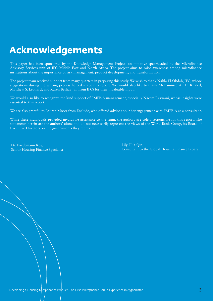# **Acknowledgements**

This paper has been sponsored by the Knowledge Management Project, an initiative spearheaded by the Microfinance Advisory Services unit of IFC Middle East and North Africa. The project aims to raise awareness among microfinance institutions about the importance of risk management, product development, and transformation.

The project team received support from many quarters in preparing this study. We wish to thank Nahla El-Okdah, IFC, whose suggestions during the writing process helped shape this report. We would also like to thank Mohammed Ali H. Khaled, Matthew S. Leonard, and Karen Beshay (all from IFC) for their invaluable input.

We would also like to recognize the kind support of FMFB-A management, especially Naeem Razwani, whose insights were essential to this report.

We are also grateful to Lauren Moser from Enclude, who offered advice about her engagement with FMFB-A as a consultant.

While these individuals provided invaluable assistance to the team, the authors are solely responsible for this report. The statements herein are the authors' alone and do not necessarily represent the views of the World Bank Group, its Board of Executive Directors, or the governments they represent.

 Dr. Friedemann Roy, Senior Housing Finance Specialist Lily Hua Qin, Consultant to the Global Housing Finance Program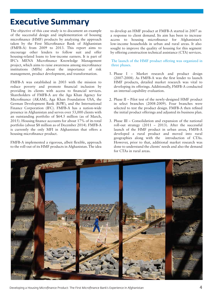## **Executive Summary**

The objective of this case study is to document an example of the successful design and implementation of housing microfinance (HMF) products by analyzing the approach taken by the First Microfinance Bank of Afghanistan (FMFB-A) from 2009 to 2013. This report aims to encourage other lenders to follow suit and offer housing-related loans to low-income earners. It is part of IFC's MENA Microfinance Knowledge Management project, which aims to raise awareness among microfinance institutions (MFIs) about the importance of risk management, product development, and transformation.

FMFB-A was established in 2003 with the mission to reduce poverty and promote financial inclusion by providing its clients with access to financial services. Shareholders of FMFB-A are the Aga Khan Agency for Microfinance (AKAM), Aga Khan Foundation USA, the German Development Bank (KfW), and the International Finance Corporation (IFC). FMFB-A has a nation-wide presence in Afghanistan and serves over 53,000 clients with an outstanding portfolio of \$64.5 million (as of March,  $2015$ ). Housing finance accounts for about 17% of its total portfolio (about \$8 million as of December 2014). FMFB-A is currently the only MFI in Afghanistan that offers a housing microfinance product.

FMFB-A implemented a rigorous, albeit flexible, approach to the roll-out of its HMF products in Afghanistan. The idea to develop an HMF product at FMFB-A started in 2007 as a response to client demand. Its aim has been to increase access to housing microfinance for Afghanistan's low-income households in urban and rural areas. It also sought to improve the quality of housing for this segment by offering construction technical assistance (CTA) services.

The launch of the HMF product offering was organized in three phases.

- 1. Phase I Market research and product design  $(2007-2008)$ . As FMFB-A was the first lender to launch HMF products, detailed market research was vital to developing its offerings. Additionally, FMFB-A conducted an internal capability evaluation.
- 2. Phase II Pilot test of the newly-designed HMF product in select branches (2008-2009). Four branches were selected to test the product design. FMFB-A then refined the initial product offerings and adjusted its business plan.
- 3. Phase III Consolidation and expansion of the national roll-out strategy  $(2011 - 2013)$ . After the successful launch of the HMF product in urban areas, FMFB-A developed a rural product and moved into rural geographies along with the introduction of CTAs. However, prior to that, additional market research was done to understand the clients' needs and also the demand for CTAs in rural areas.



Developing a Housing Microfinance Product: The First Microfinance Bank's Experience in Afghanistan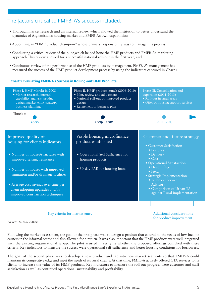## The factors critical to FMFB-A's success included:

- Thorough market research and an internal review, which allowed the institution to better understand the dynamics of Afghanistan's housing market and FMFB-A's own capabilities;
- Appointing an "HMF product champion" whose primary responsibility was to manage this process;
- Conducting a critical review of the pilot,which helped hone the HMF products and FMFB-A's marketing approach. This review allowed for a successful national roll-out in the first year; and
- Continuous review of the performance of the HMF products by management. FMFB-A's management has measured the success of the HMF product development process by using the indicators captured in Chart 1.

#### **Chart 1 Evaluating FMFB-A's Success in Rolling-out HMF Products**



*Source: FMFB-A, authors*

Following the market assessment, the goal of the first phase was to design a product that catered to the needs of low-income earners in the informal sector and also allowed for a return. It was also important that the HMF products were well integrated with the existing organizational set-up. The pilot assisted in verifying whether the proposed offerings complied with these criteria. Key indicators to measure the success were operational self-sufficiency and better housing conditions for borrowers.

The goal of the second phase was to develop a new product and tap into new market segments so that FMFB-A could maintain its competitive edge and meet the needs of its rural clients. At that time, FMFB-A actively offered CTA services to its clients to increase the value of its HMF products. Key indicators to measure the roll-out progress were customer and staff satisfaction as well as continued operational sustainability and profitability.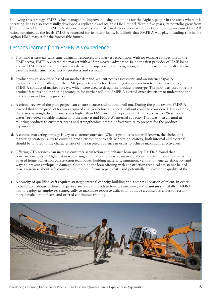Following this strategy, FMFB-A has managed to improve housing conditions for the Afghan people in the areas where it is operating. It has also successfully developed a replicable and scalable HMF model. Within five years, its portfolio grew from \$500,000 to \$11 million. FMFB-A also increased its share of female borrowers while portfolio quality, measured by PAR ratios, remained at the levels FMFB-A recorded for its micro loans. It is likely that FMFB-A will play a leading role in the Afghan HMF market for the foreseeable future.

## Lessons learned from FMFB-A's experience

- a. First-mover strategy wins time, financial resources, and market recognition. With no existing competitors in the HMF sector, FMFB-A entered the market with a "first-mover" advantage. Being the first provider of HMF loans allowed FMFB-A to meet customer needs, acquire superior brand recognition, and build customer loyalty. It also gave the lender time to perfect its products and services.
- b. Product design should be based on market demand, a client needs assessment, and an internal capacity evaluation. Before rolling out the HMF products and before launching its construction technical assistance, FMFB-A conducted market surveys, which were used to design the product prototype. The pilot was used to refine product features and marketing strategies for further roll-out. FMFB-A exerted extensive effort to understand the market demand for this product
- c. A critical review of the pilot project can ensure a successful national roll-out. During the pilot review, FMFB-A learned that some product features required changes before a national roll-out could be considered. For example, the loan size sought by customers was higher than FMFB-A initially projected. This experience of "testing the water" provided valuable insights into the market and FMFB-A's internal capacity. That was instrumental in tailoring products to customer needs and strengthening internal infrastructure to prepare for the product expansion.
- A concise marketing strategy is key to customer outreach. When a product is not well known, the choice of a d. marketing strategy is key to ensuring broad customer outreach. Marketing strategy, both internal and external, should be tailored to the characteristics of the targeted audience in order to achieve maximum effectiveness.
- e. Offering CTA services can increase customer satisfaction and enhance loan quality. FMFB-A found that construction costs in Afghanistan were rising and many clients were unaware about how to build safely. So, it advised home owners on construction techniques, building materials, sanitation, ventilation, energy efficiency, and ways to prevent earthquake damage. Combining the loan offering with construction technical assistance helped raise awareness about safe construction, reduced future repair costs, and potentially improved the quality of the loan.
- A scarcity of qualied staff requires strategic internal capacity building and a smart allocation of talent. In order f. to build up in-house technical expertise, increase outreach to female customers, and maintain staff skills, FMFB-A had to deploy its employees strategically to maximize resource utilization. It made a conscious effort to recruit more female loan officers, and offered continuous training.



Developing a Housing Microfinance Product: The First Microfinance Bank's Experience in Afghanistan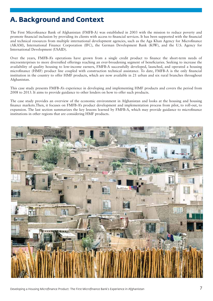## **A. Background and Context**

The First Microfinance Bank of Afghanistan (FMFB-A) was established in 2003 with the mission to reduce poverty and promote financial inclusion by providing its clients with access to financial services. It has been supported with the financial and technical resources from multiple international development agencies, such as the Aga Khan Agency for Microfinance (AKAM), International Finance Corporation (IFC), the German Development Bank (KfW), and the U.S. Agency for International Development (USAID).

Over the years, FMFB-A's operations have grown from a single credit product to finance the short-term needs of microenterprises to more diversified offerings reaching an ever-broadening segment of beneficiaries. Seeking to increase the availability of quality housing to low-income earners, FMFB-A successfully developed, launched, and operated a housing microfinance (HMF) product line coupled with construction technical assistance. To date, FMFB-A is the only financial institution in the country to offer HMF products, which are now available in 21 urban and six rural branches throughout Afghanistan.

This case study presents FMFB-A's experience in developing and implementing HMF products and covers the period from 2008 to 2013. It aims to provide guidance to other lenders on how to offer such products.

The case study provides an overview of the economic environment in Afghanistan and looks at the housing and housing nance markets.Then, it focuses on FMFB-A's product development and implementation process from pilot, to roll-out, to expansion. The last section summarizes the key lessons learned by FMFB-A, which may provide guidance to microfinance institutions in other regions that are considering HMF products.

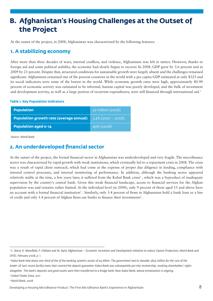## **B. Afghanistan's Housing Challenges at the Outset of the Project**

At the outset of the project, in 2008, Afghanistan was characterized by the following features:

### **1. A stabilizing economy**

After more than three decades of wars, internal conflicts, and violence, Afghanistan was left in tatters. However, thanks to foreign aid and some political stability, the economy had slowly begun to recover. In 2008, GDP grew by 3.6 percent and in 2009 by 21 percent. Despite that, structural conditions for sustainable growth were largely absent and the challenges remained significant. Afghanistan remained one of the poorest countries in the world with a per capita GDP estimated at only \$325 and its social indicators were some of the lowest in the world. While economic growth rates were high, approximately 80-90 percent of economic activity was estimated to be informal, human capital was poorly developed, and the bulk of investment and development activity, as well as a large portion of recurrent expenditures, were still financed through international aid.<sup>1</sup>

#### **Table 1. Key Population Indicators**

| <b>Population</b>                              | $\frac{1}{27}$ million (2008) |
|------------------------------------------------|-------------------------------|
| <b>Population growth rate (average annual)</b> | $3.4\%$ (2001 – 2008)         |
| <b>Population aged 0-14</b>                    | 49% (2008)                    |

*Source: World Bank*

## **2. An underdeveloped financial sector**

At the outset of the project, the formal financial sector in Afghanistan was underdeveloped and very fragile. The microfinance sector was characterized by rapid growth with weak institutions, which eventually led to a repayment crisis in 2008. The crisis was a result of rapid client outreach, which had come at the expense of proper due diligence in lending, compliance with internal control processes, and internal monitoring of performance. In addition, although the banking sector appeared relatively stable at the time, a few years later, it suffered from the Kabul Bank crisis<sup>2</sup>, which was a byproduct of inadequate supervision by the country's central bank. Given this weak financial landscape, access to financial services for the Afghan population was and remains rather limited. At the individual level (in 2008), only 9 percent of those aged 15 and above have an account with a formal financial institution<sup>3</sup>. Similarly, only 3.4 percent of firms in Afghanistan hold a bank loan or a line of credit and only 1.4 percent of Afghan firms use banks to finance their investments<sup>4</sup>.

*3 Global Findex Data, 2011*

*4 World Bank, 2008*

<sup>&</sup>lt;sup>1</sup> C. Ward, D. Mansfield, P. Oldham and W. Byrd, Afghanistan – Economic Incentives and Development Initiative to reduce Opium Production, World Bank and *DFID, February 2008, p. 1.* 

*<sup>2</sup> Kabul Bank held about one-third of the of the banking system's assets of \$4 billion. The government had to shoulder \$825 million for the cost of the lender-of-last-resort facility loans that covered the deposit guarantee. Kabul Bank was subsequently put into receivership, revoking shareholders' rights altogether. The bank's deposits and good assets were then transferred to a bridge bank, New Kabul Bank, whose privatization is ongoing.*

Developing a Housing Microfinance Product: The First Microfinance Bank's Experience in Afghanistan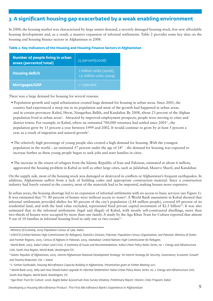## **3**. **A significant housing gap exacerbated by a weak enabling environment**

In 2008, the housing market was characterized by large unmet demand, a severely damaged housing stock, few new affordable housing developments and, as a result, a massive expansion of informal settlements. Table 2 provides some key data on the housing and housing finance sectors in Afghanistan in 2008.

#### **Table 2. Key Indicators of the Housing and Housing Finance Sectors in Afghanistan**

| Number of people living in urban<br>areas (percentof total) | 23 percent(2008)                                      |
|-------------------------------------------------------------|-------------------------------------------------------|
| <b>Housing deficit</b>                                      | 1 million units (2006);<br>$1.5$ million units (2014) |
| Mortgages/GDP                                               | <1 percent                                            |

There was a large demand for housing for several reasons:

- Population growth and rapid urbanization created huge demand for housing in urban areas. Since 2001, the country had experienced a steep rise in its population and most of the growth had happened in urban areas. and in certain provinces: Kabul, Herat, Nangarhar, Balkh, and Kandahar. By 2008, about 23 percent of the Afghan population lived in urban areas<sup>5</sup>. Attracted by improved employment prospects, people were moving to cities and district towns. For example, in Kabul, where an estimated 700,000 returnees had settled since 2001<sup>6</sup>, the population grew by 15 percent a year between 1999 and 2002. It would continue to grow by at least 5 percent a year as a result of migration and natural growth<sup>7</sup>.
- The relatively high percentage of young people also created a high demand for housing. With the youngest population in the world – an estimated 57 percent under the age of 188 - the demand for housing was expected to increase further as these young people began to seek jobs and start families in cities.
- The increase in the return of refugees from the Islamic Republic of Iran and Pakistan, estimated at about 6 million, aggravated the housing problem in Kabul as well as other large cities, such as Jalalabad, Mazer-e Sharif, and Kandahar.

On the supply side, most of the housing stock was damaged or destroyed in conflicts or Afghanistan's frequent earthquakes. In addition, Afghanistan suffers from a lack of building codes and appropriate construction material. Since a construction industry had barely existed in the country, most of the materials had to be imported, making houses more expensive.

In urban areas, the housing shortage led to an expansion of informal settlements with no access to basic services (see Figure 1). It was estimated that 75- 80 percent of homes were without access to water<sup>9</sup>. A World Bank assessment in Kabul showed that informal settlements provided shelter for 80 percent of the city's population (2.44 million people), covered 69 percent of its residential land, and with the land value excluded, represented fixed private capital investment of \$2.5 billion<sup>10</sup>. It was also estimated that in the informal settlements (legal and illegal) of Kabul, with mostly self-constructed dwellings, more than two-thirds of houses were occupied by more than one family. A study by the Aga Khan Trust for Culture reported that almost 9 out of 10 families in informal housing lived in only one or two rooms<sup>11</sup>.

*<sup>5</sup> Ministry of Economy, 2005.Population Census of 1384. Kabul.*

*<sup>6</sup> UNHCR (United Nations High Commissioner for Refugees), Statistics Division; Pakistan, Population Census Organization; and Pakistan, Ministry of States and Frontier Regions, 2005. Census of Afghans in Pakistan, 2005. Islamabad: United Nations High Commissioner for Refugees.*

*<sup>7</sup> World Bank, 2005. Kabul Urban Land Crisis: A Summary of Issues and Recommendations. Kabul Urban Policy Notes Series, no. 1. Energy and Infrastructure Unit, South Asia Region, World Bank, Washington DC.*

*<sup>8</sup> Islamic Republic of Afghanistan, 2005. Interim Afghanistan National Development Strategy: An Interim Strategy for Security, Governance, Economic Growth and Poverty Reduction. Vol. 1. Kabul.*

*<sup>9</sup> S. Farhan Fasihuddin, Housing Microfinance Capacity Building in Afghanistan, Presentation given at FinNet Meeting 2011.*

*<sup>10</sup>World Bank 2005. Why and How Should Kabul Upgrade Its Informal Settlements? Kabul Urban Policy Notes Series, no. 2. Energy and Infrastructure Unit, South Asia Region, World Bank, Washington, DC.*

*<sup>11</sup> Aga Khan Trust for Culture. 2006. Baghe Babur &GozarGah Area Survey Initiative, Preliminary Report. Historic Cities Program, Kabul*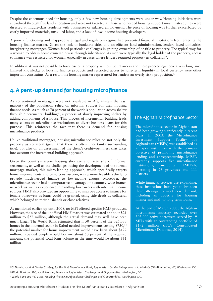Despite the enormous need for housing, only a few new housing developments were under way. Housing initiatives were subsidized through free land allocation and were not targeted at those who needed housing support most. Instead, they were directed at middle-class residents with businesses or salaried employment. The price of housing was further exacerbated by costly imported materials, unskilled labor, and a lack of low-income housing developers.

A poorly functioning and inappropriate legal and regulatory regime had prevented nancial institutions from entering the housing finance market. Given the lack of bankable titles and an efficient land administration, lenders faced difficulties inregistering mortgages. Women faced particular challenges in gaining ownership of or title to property. The typical way for a woman to obtain home ownership was through inheritance. As men were typically the legal holder of the property, access to finance was restricted for women, especially in cases where lenders required property as collateral<sup>12</sup>.

In addition, it was not possible to foreclose on a property without court orders and these proceedings took a very long time. Limited knowledge of housing finance products and restricted access to long-term liquidity in local currency were other important constraints. As a result, the housing market represented for lenders an overly risky proposition.<sup>13</sup>

## **4. A pent-up demand for housing microfinance**

As conventional mortgages were not available in Afghanistan the vast majority of the population relied on informal sources for their housing nance needs. As much as 70 percent of the world's population access shelter through "incremental building", a process of slowly improving shelter by adding components of a house. This process of incremental building leads many clients of microfinance institutions to divert business loans for this purpose. This reinforces the fact that there is demand for housing microfinance products.

Unlike traditional mortgages, housing microfinance relies on not only the property as collateral (given that there is often uncertainty surrounding title), but also on an assessment of the client's creditworthiness that takes into account the incremental building approach.

Given the country's severe housing shortage and large size of informal settlements, as well as the challenges facing the development of the formal mortgage market, this micro-lending approach, which specifically targets home improvements and basic construction, was a more feasible vehicle to provide much-needed finance to low-income groups. Moreover, the microfinance sector had a comparative advantage of a country-wide branch network as well as experience in handling borrowers with informal income sources. HMF also provided an opportunity to improve access to finance for female borrowers as loans could be granted, using title deeds as collateral which belonged to their husbands or close relatives.

As mentioned earlier, up until 2008, no MFI offered specific HMF products. However, the size of the unofficial HMF market was estimated at about \$21 million to \$27 million, although the actual demand may well have been much larger. The World Bank estimated that if 50 percent of the 325,333 homes in the informal sector in Kabul needed improvements costing \$750,<sup>14</sup> the potential market for home improvement would have been about \$122 million. Provided people would borrow about 50 percent of the required amount, the potential total loan volume at the time would be about \$61 million.

### The Afghan Microfinance Sector

The microfinance sector in Afghanistan had been growing significantly in recent years. In 2003, the Microfinance Investment Support Facility for Afghanistan (MISFA) was established as an apex institution with the primary objective of promoting microfinance lending and entrepreneurship. MISFA currently supports five microfinance institutions, including FMFB-A, operating in 23 provinces and 111 districts.

While financial services are expanding, these institutions have yet to broaden their offerings to meet new demand, including an appetite for housing finance and mid- to long-term loans.

At the end of March 2008, the Afghan microfinance industry recorded over 303,000 active borrowers, served by 19 MFIs with an outstanding portfolio of \$192 million (IFC's Consolidated Microfinance Database, 2014).

*<sup>12</sup> S. Narain, 2006. A Gender Strategy for the First Microfinance Bank, Afghanistan. Gender Entrepreneurship Markets (GEM) Initiative, IFC, Washington DC.*

*<sup>13</sup>World Bank and IFC, 2008. Housing Finance in Afghanistan: Challenges and Opportunities. Washington, DC.*

*<sup>14</sup>World Bank and IFC, 2008. Housing Finance in Afghanistan: Challenges and Opportunities. Washington, DC.*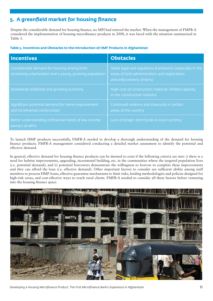## **5. A greenfield market for housing finance**

Despite the considerable demand for housing finance, no MFI had entered the market. When the management of FMFB-A considered the implementation of housing microfinance products in 2008, it was faced with the situation summarized in Table 3.

#### **Table 3. Incentives and Obstacles to the Introduction of HMF Products in Afghanistan**

| <b>Incentives</b>                                                                                       | <b>Obstacles</b>                                                                                                                      |
|---------------------------------------------------------------------------------------------------------|---------------------------------------------------------------------------------------------------------------------------------------|
| Considerable demand for housing arising from<br>increasing urbanization and a young, growing population | Weak legal and regulatory framework (especially in the<br>areas of land administration and registration,<br>and enforcement of liens) |
| Somewhat stabilized and growing economy                                                                 | High cost of construction material; limited capacity<br>in the construction industry                                                  |
| Significant potential demand for home improvement<br>and incremental construction                       | Continued violence and insecurity in certain<br>areas of the country                                                                  |
| Better understanding of financial needs of low income<br>earners at MFIs                                | Lack of longer-term funds in local currency                                                                                           |

To launch HMF products successfully, FMFB-A needed to develop a thorough understanding of the demand for housing finance products. FMFB-A management considered conducting a detailed market assessment to identify the potential and effective demand.

In general, effective demand for housing finance products can be deemed to exist if the following criteria are met: i) there is a need for habitat improvements, upgrading, incremental building, etc. in the communities where the targeted population lives (i.e. potential demand); and ii) potential borrowers demonstrate the willingness to borrow to complete these improvements and they can afford the loan (i.e. effective demand). Other important factors to consider are sufficient ability among staff members to process HMF loans, effective guarantee mechanisms to limit risks, lending methodologies and policies designed for high-risk areas, and cost-effective ways to reach rural clients. FMFB-A needed to consider all these factors before venturing into the housing finance space.



Developing a Housing Microfinance Product: The First Microfinance Bank's Experience in Afghanistan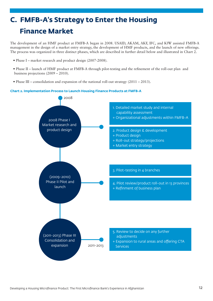# **C. FMFB-A's Strategy to Enter the Housing Finance Market**

The development of an HMF product at FMFB-A began in 2008. USAID, AKAM, AKF, IFC, and KfW assisted FMFB-A management in the design of a market entry strategy, the development of HMF products, and the launch of new offerings. The process was organized in three distinct phases, which are described in further detail below and illustrated in Chart 2.

- Phase I market research and product design (2007-2008).
- Phase II launch of HMF product at FMFB-A through pilot-testing and the refinement of the roll-out plan and business projections (2009 – 2010).
- Phase III consolidation and expansion of the national roll-out strategy (2011 2013).

#### **Chart 2. Implementation Process to Launch Housing Finance Products at FMFB-A**

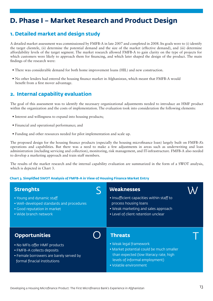## **D. Phase I – Market Research and Product Design**

## **1. Detailed market and design study**

A detailed market assessment was commissioned by FMFB-A in late 2007 and completed in 2008. Its goals were to (i) identify the target clientele, (ii) determine the potential demand and the size of the market (effective demand), and (iii) determine affordability levels of the target segment. The market research allowed FMFB-A to gain clarity on the type of projects for which customers were likely to approach them for financing, and which later shaped the design of the product. The main findings of the research were:

- There was considerable demand for both home improvement loans (HIL) and new construction.
- No other lenders had entered the housing finance market in Afghanistan, which meant that FMFB-A would benefit from a first mover advantage.

### **2. Internal capability evaluation**

The goal of this assessment was to identify the necessary organizational adjustments needed to introduce an HMF product within the organization and the costs of implementation. The evaluation took into consideration the following elements:

- Interest and willingness to expand into housing products;
- Financial and operational performance; and
- Funding and other resources needed for pilot implementation and scale up.

The proposed design for the housing finance products (especially the housing microfinance loan) largely built on FMFB-A's operations and capabilities. But there was a need to make a few adjustments in areas such as underwriting and loan administration (including servicing and collection), monitoring, risk management, and IT-infrastructure. FMFB-A also needed to develop a marketing approach and train staff members.

The results of the market research and the internal capability evaluation are summarized in the form of a SWOT analysis, which is depicted in Chart 3.

#### **Chart 3. Simplified SWOT Analysis of FMFB-A in View of Housing Finance Market Entry**

| <b>Strenghts</b>                                                        | <b>Weaknesses</b>                                                                                  |
|-------------------------------------------------------------------------|----------------------------------------------------------------------------------------------------|
| • Young and dynamic staff                                               | • Insufficient capacities within staff to                                                          |
| . Well-developed standards and procedures                               | process housing loans                                                                              |
| . Good reputation in market                                             | • Weak marketing and sales approach                                                                |
| • Wide branch network                                                   | • Level of client retention unclear                                                                |
| <b>Opportunities</b>                                                    | <b>Threats</b>                                                                                     |
| • No MFIs offer HMF products                                            | • Weak legal framework                                                                             |
| • FMFB-A collects deposits                                              | • Market potential could be much smaller                                                           |
| • Female borrowers are barely served by<br>formal finacial institutions | than expected (low literacy rate, high<br>levels of informal employment)<br>• Volatile environment |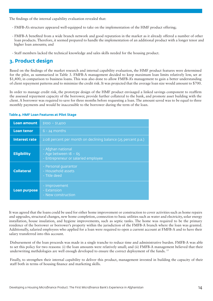The findings of the internal capability evaluation revealed that:

- FMFB-A's structure appeared well-equipped to take on the implementation of the HMF product offering;
- FMFB-A beneted from a wide branch network and good reputation in the market as it already offered a number of other loan products. Therefore, it seemed prepared to handle the implementation of an additional product with a longer tenor and higher loan amounts; and
- Staff members lacked the technical knowledge and sales skills needed for the housing product.

## **3. Product design**

Based on the findings of the market research and internal capability evaluation, the HMF product features were determined for the pilot, as summarized in Table 3. FMFB-A management decided to keep maximum loan limits relatively low, set at \$1,400, in comparison to business loans. This was also done to allow FMFB-A's management to gain a better understanding of client repayment patterns and to minimize the credit risk. It was projected that the average loan size would amount to \$700.

In order to manage credit risk, the prototype design of the HMF product envisaged a linked savings component to reaffirm the assessed repayment capacity of the borrower, provide further collateral to the bank, and promote asset building with the client. A borrower was required to save for three months before requesting a loan. The amount saved was to be equal to three monthly payments and would be inaccessible to the borrower during the term of the loan.

| <b>Loan amount</b>   | $$100 - $1,400$                                                                     |
|----------------------|-------------------------------------------------------------------------------------|
| <b>Loan tenor</b>    | $6 - 24$ months                                                                     |
| <b>Interest rate</b> | 2.08 percent per month on declining balance (25 percent p.a.)                       |
| <b>Eligibility</b>   | - Afghan national<br>- Age between $18 - 65$<br>- Entrepreneur or salaried employee |
| <b>Collateral</b>    | - Personal quarantor<br>- Household assets<br>- Title deed                          |
| <b>Loan purpose</b>  | - Improvement<br>- Extension<br>- New construction                                  |

#### **Table 4. HMF Loan Features at Pilot Stage**

It was agreed that the loans could be used for either home improvement or construction to cover activities such as home repairs and upgrades, structural changes, new home completion, connection to basic utilities such as water and electricity, solar energy installation, house insulation, and hygiene improvements, such as septic tanks. The home was required to be the primary residence of the borrower or borrower's property within the jurisdiction of the FMFB-A branch where the loan was granted. Additionally, salaried employees who applied for a loan were required to open a current account at FMFB-A and to have their salary transferred into this account.

Disbursement of the loan proceeds was made in a single tranche to reduce time and administrative burden. FMFB-A was able to set this policy for two reasons: (i) the loan amounts were relatively small; and (ii) FMFB-A management believed that their underwriting methdologies are well enough developed to ensure the correct deployment of the funds.<sup>15</sup>

Finally, to strengthen their internal capability to deliver this product, management invested in building the capacity of their staff both in terms of housing finance and marketing skills.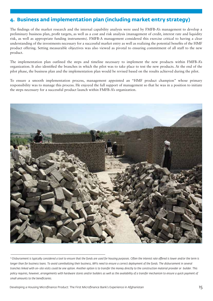## **4. Business and implementation plan (including market entry strategy)**

The findings of the market research and the internal capability analysis were used by FMFB-A's management to develop a preliminary business plan, profit targets, as well as a cost and risk analysis (management of credit, interest rate and liquidity risk, as well as appropriate funding instruments). FMFB-A management considered this exercise critical to having a clear understanding of the investments necessary for a successful market entry as well as realizing the potential benets of the HMF product offering. Setting measurable objectives was also viewed as pivotal to ensuring commitment of all staff to the new product.

The implementation plan outlined the steps and timeline necessary to implement the new products within FMFB-A's organization. It also identified the branches in which the pilot was to take place to test the new products. At the end of the pilot phase, the business plan and the implementation plan would be revised based on the results achieved during the pilot.

To ensure a smooth implementation process, management appointed an "HMF product champion" whose primary responsibility was to manage this process. He enjoyed the full support of management so that he was in a position to initiate the steps necessary for a successful product launch within FMFB-A's organization.



<sup>&</sup>lt;sup>15</sup> Disbursement is typically considered a tool to ensure that the funds are used for housing purposes. Often the interest rate offered is lower and/or the term is longer than for business loans. To avoid cannibalizing their business, MFIs need to ensure a correct deployment of the funds. The disbursement in several *tranches linked with on-site visits could be one option. Another option is to transfer the money directly to the construction material provider or builder. This policy requires, however, arrangements with hardware stores and/or builders as well as the availability of a transfer mechanism to ensure a quick payment of small amounts to the beneficiaries.*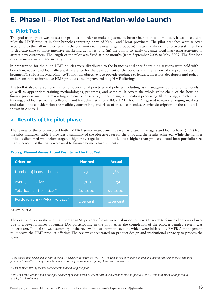## **E. Phase II – Pilot Test and Nation-wide Launch**

### **1. Pilot Test**

The goal of the pilot was to test the product in order to make adjustments before its nation-wide roll-out. It was decided to pilot the HMF product in four branches targeting parts of Kabul and Herat provinces. The pilot branches were selected according to the following criteria: (i) the proximity to the new target group; (ii) the availability of up to two staff members to dedicate time to more intensive marketing activities; and (iii) the ability to easily organize local marketing activities to attract new customers. The length of the pilot was fixed at nine months (from September 2008 to May 2009) The first loan disbursements were made in early 2009.

In preparation for the pilot, HMF policies were distributed to the branches and specific training sessions were held with branch managers and loan officers. A reference for the development of the policies and the review of the product design became IFC's Housing Microfinance Toolkit. Its objective is to provide guidance to lenders, investors, developers and policy makers on how to introduce HMF products and improve existing HMF offerings.

The toolkit also offers an orientation on operational practices and policies, including risk management and funding models as well as appropriate training methodologies, programs, and samples. It covers the whole value chain of the housing finance process, including marketing and customer service, underwriting (application processing, file building, and closing), funding, and loan servicing (collection, and file administration). IFC's HMF Toolkit<sup>16</sup> is geared towards emerging markets and takes into consideration the realities, constraints, and risks of these economies. A brief description of the toolkit is shown in Annex 1.

## **2. Results of the pilot phase**

The review of the pilot involved both FMFB-A senior management as well as branch managers and loan officers (LOs) from the pilot branches. Table 5 provides a summary of the objectives set for the pilot and the results achieved. While the number of loans disbursed was below target, a higher average loan amount led to a higher than projected total loan portfolio size. Eighty percent of the loans were used to finance home refurbishments.

#### **Table 5. Planned Versus Actual Results for the Pilot Test**

| <b>Criterion</b>                      | <b>Planned</b> | <b>Actual</b> |
|---------------------------------------|----------------|---------------|
| Number of loans disbursed             | 750            | 586           |
| Average loan size                     | \$700          | \$1,251       |
| Total loan portfolio size "           | \$452,000      | \$552,000     |
| Portfolio at risk (PAR) > 30 days $*$ | 2 percent      | 1.2 percent   |

#### *Source: FMFB-A*

The evaluations also showed that more than 90 percent of loans were disbursed to men. Outreach to female clients was lower due to a fewer number of female LOs participating in the pilot. After the completion of the pilot, a detailed review was undertaken. Table 6 shows a summary of the review. It also shows the actions which were initiated by FMFB-A management to improve the HMF product offering. The review concentrated on product design and institutional capacity to process the loans.

<sup>&</sup>lt;sup>16</sup>This toolkit was developed as part of the IFC's advisory activities at FMFB-A. The toolkit has now been updated and incorporates experiences and best *practices from other emerging markets where housing microfinance offerings have been implemented.* 

*<sup>17</sup> This number already includes repayments made during the pilot.*

<sup>&</sup>lt;sup>18</sup> PAR is a ratio of the unpaid principal balance of all loans with payment past-due over the total loan portfolio. It is a standard measure of portfolio *quality in microfinance.*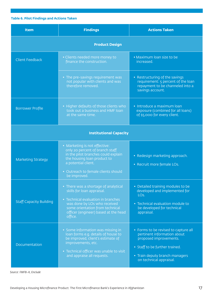#### **Table 6. Pilot Findings and Actions Taken**

| <b>Item</b>                    | <b>Findings</b>                                                                                                                                                                                                                | <b>Actions Taken</b>                                                                                                                                                                         |  |
|--------------------------------|--------------------------------------------------------------------------------------------------------------------------------------------------------------------------------------------------------------------------------|----------------------------------------------------------------------------------------------------------------------------------------------------------------------------------------------|--|
| <b>Product Design</b>          |                                                                                                                                                                                                                                |                                                                                                                                                                                              |  |
| <b>Client Feedback</b>         | • Clients needed more money to<br>finance the construction.                                                                                                                                                                    | • Maximum loan size to be<br>increased.                                                                                                                                                      |  |
|                                | • The pre-savings requirement was<br>not popular with clients and was<br>therefore removed.                                                                                                                                    | • Restructuring of the savings<br>requirement: 5 percent of the loan<br>repayment to be channeled into a<br>savings account.                                                                 |  |
| <b>Borrower Profile</b>        | • Higher defaults of those clients who<br>took out a business and HMF loan<br>at the same time.                                                                                                                                | · Introduce a maximum loan<br>exposure (combined for all loans)<br>of \$5,000 for every client.                                                                                              |  |
| <b>Institutional Capacity</b>  |                                                                                                                                                                                                                                |                                                                                                                                                                                              |  |
| <b>Marketing Strategy</b>      | • Marketing is not effective:<br>only 20 percent of branch staff<br>in the pilot branches could explain<br>the housing loan product to<br>a potential client.<br>• Outreach to female clients should<br>be improved.           | • Redesign marketing approach.<br>• Recruit more female LOs.                                                                                                                                 |  |
| <b>Staff Capacity Building</b> | • There was a shortage of analytical<br>skills for loan appraisal.<br>• Technical evaluation in branches<br>was done by LOs who received<br>some orientation from technical<br>officer (engineer) based at the head<br>office. | • Detailed training modules to be<br>developed and implemented for<br>LO <sub>s.</sub><br>• Technical evaluation module to<br>be developed for technical<br>appraisal.                       |  |
| Documentation                  | · Some information was missing in<br>loan forms e.g. details of house to<br>be improved, client's estimate of<br>improvements, etc.<br>• Technical officer was unable to visit<br>and appraise all requests.                   | • Forms to be revised to capture all<br>pertinent information about<br>proposed improvements.<br>• Staff to be further trained.<br>• Train deputy branch managers<br>on technical appraisal. |  |

*Source: FMFB-A, Enclude*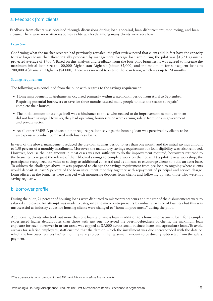#### a. Feedback from clients

Feedback from clients was obtained through discussions during loan appraisal, loan disbursement, monitoring, and loan closure. There were no written responses as literacy levels among many clients were very low.

#### Loan Size

Confirming what the market research had previously revealed, the pilot review noted that clients did in fact have the capacity to take larger loans than those initially proposed by management. Average loan size during the pilot was \$1,251 against a projected average of \$70019. Based on this analysis and feedback from the four pilot branches, it was agreed to increase the maximum initial loan size to 100,000 Afghanistan Afghanis (about \$2,000) and the maximum for subsequent loans to 200,000 Afghanistan Afghanis (\$4,000). There was no need to extend the loan tenor, which was up to 24 months.

#### Savings requirement

The following was concluded from the pilot with regards to the savings requirement:

- Home improvement in Afghanistan occurred primarily within a six-month period from April to September. Requiring potential borrowers to save for three months caused many people to miss the season to repair/ complete their houses;
- The initial amount of savings itself was a hindrance to those who needed to do improvement as many of them did not have savings. However, they had operating businesses or were earning salary from jobs in government and private sector.
- As all other FMFB-A products did not require pre-loan savings, the housing loan was perceived by clients to be an expensive product compared with business loans.

In view of the above, management reduced the pre-loan savings period to less than one month and the initial savings amount to 150 percent of a monthly installment. Moreover, the mandatory savings requirement for loan eligibility was also removed. However, because the loan amount in most cases was not sufficient to do the improvement required, borrowers returned to the branches to request the release of their blocked savings to complete work on the house. At a pilot review workshop, the participants recognized the value of savings as additional collateral and as a means to encourage clients to build an asset base. To address the challenges above, it was proposed to change the savings requirement from pre-loan to ongoing where clients would deposit at least 5 percent of the loan installment monthly together with repayment of principal and service charge. Loan officers at the branches were charged with monitoring deposits from clients and following up with those who were not saving regularly.

#### b. Borrower profile

During the pilot, 94 percent of housing loans were disbursed to microentrepreneurs and the rest of the disbursements were to salaried employees. An attempt was made to categorize the micro entrepreneurs by industry or type of business but this was unsuccessful as industry codes for housing clients were changed to "home improvement" during the pilot.

Additionally, clients who took out more than one loan (a business loan in addition to a home improvement loan, for example) experienced higher default rates than those with just one. To avoid the over-indebtedness of clients, the maximum loan exposure for each borrower in urban areas was capped at \$5,000 across small business loans and agriculture loans.To avoid arrears for salaried employees, staff ensured that the date on which the installment was due corresponded with the date on which the borrower receives his/her monthly salary to permit the repayment amount to be directly subtracted from the salary payment.

<sup>&</sup>lt;sup>19</sup>This experience is quite common at most MFIs which have entered the housing market.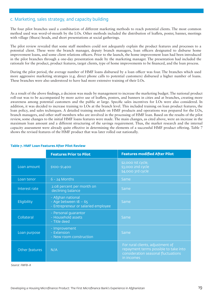#### c. Marketing, sales strategy, and capacity building

The four pilot branches used a combination of different marketing methods to reach potential clients. The most common method used was word-of-mouth by the LOs. Other methods included the distribution of leaflets, poster, banner, meetings with village (Shura) heads, and short presentations at social gatherings.

The pilot review revealed that some staff members could not adequately explain the product features and processes to a potential client. These were the branch manager, deputy branch managers, loan officers designated to disburse home improvement loans, and some client relations officers. Prior to the launch, the home improvement loan had been introduced in the pilot branches through a one-day presentation made by the marketing manager. The presentation had included the rationale for the product, product features, target clients, type of home improvements to be financed, and the loan process.

During the pilot period, the average number of HMF loans disbursed by a loan officer was four. The branches which used more aggressive marketing strategies (e.g. direct phone calls to potential customers) disbursed a higher number of loans. These branches were also understood to have had more extensive training of their LOs.

As a result of the above findings, a decision was made by management to increase the marketing budget. The national product roll-out was to be accompanied by more active use of leaflets, posters, and banners in cities and at branches, creating more awareness among potential customers and the public at large. Specific sales incentives for LOs were also considered. In addition, it was decided to increase training to LOs at the branch level. This included training on loan product features, the loan policy, and sales techniques. A detailed training module on HMF products and operations was prepared for the LOs, branch managers, and other staff members who are involved in the processing of HMF loan. Based on the results of the pilot review, some changes to the initial HMF loans features were made. The main changes, as cited above, were an increase in the maximum loan amount and a different structuring of the savings requirement. Thus, the market research and the internal capacity assessment were already quite effective in determining the elements of a successful HMF product offering. Table 7 shows the revised features of the HMF product that was later rolled out nationally.

|                | <b>Features Prior to Pilot</b>                                                      | <b>Features modified After Pilot</b>                                                                                           |
|----------------|-------------------------------------------------------------------------------------|--------------------------------------------------------------------------------------------------------------------------------|
| Loan amount    | \$100-\$1,400                                                                       | \$2,000 1st cycle,<br>\$3,000 2nd cycle<br>\$4,000 3rd cycle                                                                   |
| Loan tenor     | $6 - 24$ Months                                                                     | Same                                                                                                                           |
| Interest rate  | 2.08 percent per month on<br>declining balance                                      | Same                                                                                                                           |
| Eligibility    | - Afghan national<br>- Age between $18 - 65$<br>- Entrepreneur or salaried employee | Same                                                                                                                           |
| Collateral     | - Personal guarantor<br>- Household assets<br>- Title deed                          | Same                                                                                                                           |
| Loan purpose   | - Improvement<br>- Extension<br>- New room construction                             | Same                                                                                                                           |
| Other features | N/A                                                                                 | For rural clients, adjustment of<br>repayment terms possible to take into<br>consideration seasonal fluctuations<br>in incomes |

#### **Table 7. HMF Loan Features After Pilot Review**

*Source: FMFB-A*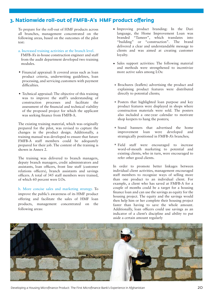### **3. Nationwide roll-out of FMFB-A's HMF product offering**

To prepare for the roll-out of HMF products across all branches, management concentrated on the following areas, based on the outcomes of the pilot test:

#### a. Increased training activities at the branch level.

 FMFB-A's in-house construction engineer and staff from the audit department developed two training modules.

- Financial appraisal: It covered areas such as loan product criteria, underwriting guidelines, loan processing, and servicing customers with payment difficulties.
- Technical appraisal: The objective of this training was to improve the staff's understanding of construction processes and facilitate the assessment of the financial and technical viability of the proposed project for which the applicant was seeking finance from FMFB-A.

The existing training material, which was originally prepared for the pilot, was revised to capture the changes in the product design. Additionally, a training manual was developed to ensure that future FMFB-A staff members could be adequately prepared for their job. The content of the training is shown in Annex 2.

The training was delivered to branch managers, deputy branch managers, credit administrators and assistants, loan officers, front line staff (customer relations officers), branch assistants and savings officers. A total of 345 staff members were trained, of which 60 percent were LOs.

b. More concise sales and marketing strategy. To improve the public's awareness of its HMF product offering and facilitate the sales of HMF loan products, management concentrated on the following areas:

- Improving product branding: In the Dari language, the Home Improvement Loan was branded "Tameer", which translates into "building" or "construction". The brand delivered a clear and understandable message to clients and was aimed at creating customer loyalty.
- Sales support activities: The following material and methods were strengthened to incentivize more active sales among LOs:
- \* Brochures (leaflets) advertising the product and explaining product features were distributed directly to potential clients;
- Posters that highlighted loan purpose and key \* product features were displayed in shops where construction materials were sold. The posters also included a one-year calendar to motivate shop keepers to hang the posters;
- Stand banners that advertised the home \* improvement loan were developed and strategically positioned in FMFB-A's branches;
- Field staff were encouraged to increase \* word-of-mouth marketing to potential and existing clients, who in turn, were encouraged to refer other good clients.

In order to promote better linkages between individual client activities, management encouraged staff members to recognize ways of selling more than one product to an individual client. For example, a client who has saved at FMFB-A for a couple of months could be a target for a housing finance loan and can use the savings as equity for the housing project. The equity and the savings would then help him or her complete their housing project faster than having to save the whole amount. Additionally, loan officers could use savings as an indicator of a client's discipline and ability to put aside a certain amount regularly



Developing a Housing Microfinance Product: The First Microfinance Bank's Experience in Afghanistan 20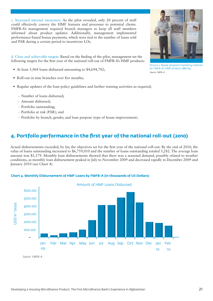c. Increased internal awareness. As the pilot revealed, only 20 percent of staff could effectively convey the HMF features and processes to potential clients. FMFB-A's management required branch managers to keep all staff members informed about product updates. Additionally, management implemented performance-based bonus payments, which were tied to the number of loans sold and PAR during a certain period to incentivize LOs.

d. Clear and achievable targets. Based on the finding of the pilot, management set the following targets for the first year of the national roll-out of FMFB-A's HMF products:

- At least 5,968 loans disbursed amounting to \$4,694,702;
- Roll-out in nine branches over five months;
- Regular updates of the loan policy guidelines and further training activities as required;
	- Number of loans disbursed;
	- Amount disbursed;
	- Portfolio outstanding;
	- Portfolio at risk (PAR); and
	- Portfolio by branch, gender, and loan purpose (type of house improvement).

## **4. Portfolio performance in the first year of the national roll-out (2010)**

Actual disbursements exceeded, by far, the objectives set for the first year of the national roll-out. By the end of 2010, the value of loans outstanding increased to \$6,759,010 and the number of loans outstanding totaled 5,282. The average loan amount was \$1,179. Monthly loan disbursements showed that there was a seasonal demand, possibly related to weather conditions, as monthly loan disbursement peaked in July to November 2009 and decreased rapidly in December 2009 and January 2010 (see Chart 4).



#### **Chart 4. Monthly Disbursement of HMF Loans by FMFB-A (in thousands of US Dollars)**





*Source: FMFB-A*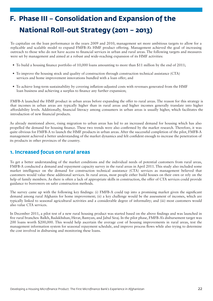# **F. Phase III – Consolidation and Expansion of the National Roll-out Strategy (2011 – 2013)**

To capitalize on the loan performance in the years 2009 and 2010, management set more ambitious targets to allow for a replicable and scalable model to expand FMFB-A's HMF product offering. Management achieved the goal of increasing outreach to those who do not have access to nancial services in urban and rural areas. The following targets and measures were set by management and aimed at a robust and wide-reaching expansion of its HMF activities:

- To build a housing finance portfolio of 10,000 loans amounting to more than \$11 million by the end of 2011;
- To improve the housing stock and quality of construction through construction technical assistance (CTA) services and home improvement innovations bundled with a loan offer; and
- To achieve long-term sustainability by covering inflation-adjusted costs with revenues generated from the HMF loan business and achieving a surplus to finance any further expansion;

FMFB-A launched the HMF product in urban areas before expanding the offer to rural areas. The reason for this strategy is that incomes in urban areas are typically higher than in rural areas and higher incomes generally translate into higher affordability levels. Additionally, financial literacy among consumers in urban areas is usually higher, which facilitates the introduction of new financial products.

As already mentioned above, rising migration to urban areas has led to an increased demand for housing which has also propelled the demand for housing finance. These two trends were also confirmed by the market research. Therefore, it was quite obvious for FMFB-A to launch the HMF products in urban areas. After the successful completion of the pilot, FMFB-A management achieved a better understanding of the market dynamics and felt confident enough to increase the penetration of its products in other provinces of the country.

### **1. Increased focus on rural areas**

To get a better understanding of the market conditions and the individual needs of potential customers from rural areas, FMFB-A conducted a demand and repayment capacity survey in the rural areas in April 2011. This study also included some market intelligence on the demand for construction technical assistance (CTA) services as management believed that customers would value these additional services. In rural areas, most people either build houses on their own or rely on the help of family members. As there is often a lack of appropriate skills in construction, the offer of CTA services could provide guidance to borrowers on safer construction methods.

The survey came up with the following key findings: (i) FMFB-A could tap into a promising market given the significant demand among rural Afghanis for home improvement; (ii) a key challenge would be the assessment of incomes, which are typically linked to seasonal agricultural activities and a considerable degree of informality; and (iii) most customers would also value CTA services.

In December 2011, a pilot test of a new rural housing product was started based on the above findings and was launched in ve rural branches: Balkh, Badakhshan, Herat, Bamyan, and Jabul Siraj. In the pilot phase, FMFB-A's disbursement target was 200 loans worth \$200,000. This would help ascertain the average cost of housing improvements in rural areas, test the management information system for seasonal repayment schedule, and improve process flows while also trying to determine the cost involved in disbursing and monitoring these loans.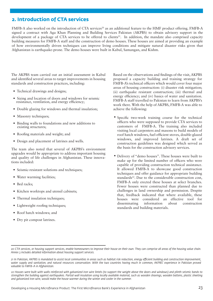## **2. Introduction of CTA services**

FMFB-A also worked on the introduction of CTA services<sup>20</sup> as an additional feature to the HMF product offering. FMFB-A signed a contract with Aga Khan Planning and Building Services Pakistan (AKPBS) to obtain advisory support in the development of a package of CTA services to be offered to clients<sup>21</sup>. In addition, the mandate also comprised capacity building measures for FMFB-A staff and the construction of demo houses. These houses are aimed at providing an example of how environmentally driven techniques can improve living conditions and mitigate natural disaster risks given that Afghanistan is earthquake-prone. The demo houses were built in Kabul, Samangan, and Kishm.

The AKPBS team carried out an initial assessment in Kabul and identified several areas to target improvements in housing standards and construction practices, including:

- Technical drawings and designs;
- Sizing and location of doors and windows for seismic resistance, ventilation, and energy efficiency;
- Double glazing for windows and thermal insulation;
- Masonry techniques;
- Binding walls to foundations and new additions to existing structures;
- Roofing materials and weight; and
- Design and placement of latrines and wells.

The team also noted that several of AKPBS's environment upgrades would be appropriate to address important housing and quality of life challenges in Afghanistan. These innovations included:

- Seismic-resistant solutions and techniques;
- Water warming facilities;
- Bed racks;
- Kitchen worktops and utensil cabinets;
- Thermal insulation techniques;
- Lightweight roofing techniques;
- Roof hatch windows; and
- Dry pit compost latrines.

Based on the observations and findings of the visit, AKPBS proposed a capacity building and training strategy for FMFB-A's technical officers which would cover four major areas of housing construction: (i) disaster risk mitigation; (ii) earthquake resistant construction; (iii) thermal and energy efficiency; and (iv) basics of water and sanitation. FMFB-A staff travelled to Pakistan to learn from AKPBS's work there. With the help of AKPBS, FMFB-A was able to achieve the following:

- Specific two-week training course for the technical officers who were supposed to provide CTA services to customers of FMFB-A. The training also included visiting local carpenters and masons to build models of roof hatch windows, fuel-efficient stoves, double-glazed windows, and improved latrines. A draft set of construction guidelines was designed which served as the basis for the construction advisory services.
- Delivery of "demo houses". These houses were built to •make up for the limited number of officers who were capable of providing construction technical assistance. It allowed FMFB-A to showcase good construction techniques and offer guidance for appropriate building standards<sup>22</sup>. Due to the considerable construction cost, FMFB-A only erected these houses at select branches. Fewer houses were constructed than planned due to challenges in land ownership and permission. Despite that, feedback indicated that where available, these houses were considered an effective tool for disseminating information about construction standards and building materials.

*<sup>20</sup> CTA services, or housing support services, enable homeowners to improve their house on their own. They can comprise all areas of the housing value chain. Annex 3 includes detailed information about housing support services.*

*<sup>21</sup> In Pakistan, AKPBS is mandated to assist local communities in areas such as habitat risk reduction, energy ecient building and construction improvement, water supply and sanitation, and natural resources conservation. With the two countries having much in common, AKPBS' experience in Pakistan proved valuable to FMFB-A in Afghanistan.* 

*<sup>22</sup> Houses were built with walls reinforced with galvanized iron wire lintels (to support the weight above the doors and windows) and plinth seismic bands to strengthen the building against earthquakes. Partial wall insulation using locally available material, such as wooden shavings, wooden battens, plastic sheeting and galvanized iron wire, would make the house warmer during the winter and cooler in the summer.*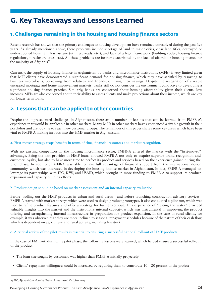## **G. Key Takeaways and Lessons Learned**

## **1. Challenges remaining in the housing and housing finance sectors**

Recent research has shown that the primary challenges to housing development have remained unresolved during the past five years. As already mentioned above, these problems include shortage of land in major cities, clear land titles, destroyed or undersupplied housing infrastructure (utilities, roads, etc.), and lack of a legal framework (building codes, housing finance regulations, foreclosure laws, etc.). All these problems are further exacerbated by the lack of affordable housing finance for the majority of Afghanis<sup>23</sup>.

Currently, the supply of housing finance in Afghanistan by banks and microfinance institutions (MFIs) is very limited given that MFI clients have demonstrated a significant demand for housing finance, which they have satisfied by resorting to business micro-loans, borrowing from relatives and friends, or using their savings. Despite the recognition of sizeable untapped mortgage and home improvement markets, banks still do not consider the environment conducive to developing a significant housing finance practice. Similarly, banks are concerned about housing affordability given their clients' low incomes. MFIs are also concerned about their ability to assess clients and make projections about their income, which are key for longer term loans.

## **2. Lessons that can be applied to other countries**

Despite the unprecedented challenges in Afghanistan, there are a number of lessons that can be learned from FMFB-A's experience that would be applicable in other markets. Many MFIs in other markets have experienced a sizable growth in their portfolios and are looking to reach new customer groups. The remainder of this paper shares some key areas which have been vital to FMFB-A making inroads into the HMF market in Afghanistan.

a. First-mover strategy reaps benefits in terms of time, financial resources and market recognition.

With no existing competitors in the housing microfinance sector, FMFB-A entered the market with the "first-mover" advantage. Being the first provider of HMF loans allowed FMFB-A not only to acquire superior brand recognition and customer loyalty, but also to have more time to perfect its product and services based on the experience gained during the pilot phase. In addition, FMFB-A was able to take full advantage of nancial support from the international donor community, which was interested in developing the housing finance market in Afghanistan. In fact, FMFB-A managed to leverage its partnerships with IFC, KfW, and USAID, which brought in more funding to FMFB-A to support its product expansion and capacity building efforts.

#### b. Product design should be based on market assessment and an internal capacity evaluation.

Before rolling out the HMF products in urban and rural areas - and before launching construction advisory services - FMFB-A started with market surveys which were used to design product prototypes. It also conducted a pilot run, which was used to refine product features and offer a strategy for further roll-out. This experience of "testing the water" provided valuable insights into the market and the institution's internal capacity, which was instrumental in improving the product offering and strengthening internal infrastructure in preparation for product expansion. In the case of rural clients, for example, it was observed that they are more inclined to seasonal repayment schedules because of the nature of their cash flow, which is dependent on agriculture and rural activity, including livestock.

c. A critical review of the pilot results is essential to ensuring a successful national roll-out of HMF products.

In the case of FMFB-A, during the pilot phase, the following lessons were learned, which helped ensure a successful roll-out of the product:

- The loan size sought by customers was higher than FMFB-A initially projected;<sup>24</sup>
- Clients' repayment willingness could be increased by requiring them to contribute 10 20 percent of the project

*<sup>23</sup> IFC, Afghanistan Housing Sector Assessment, October 2013.*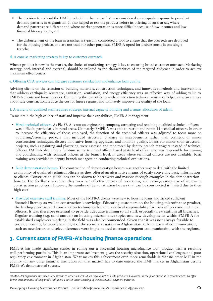- The decision to roll-out the HMF product in urban areas first was considered an adequate response to prevalent demand patterns in Afghanistan. It also helped to test the product before its offering in rural areas, where demand patterns are different and where market penetration is more difcult because of low incomes and low nancial literacy levels; and
- The disbursement of the loan in tranches is typically considered a tool to ensure that the proceeds are deployed for the housing projects and are not used for other purposes. FMFB-A opted for disbursement in one single tranche.

#### d. A concise marketing strategy is key to customer outreach.

When a product is new to the market, the choice of marketing strategy is key to ensuring broad customer outreach. Marketing strategy, both internal and external, should be tailored to the characteristics of the targeted audience in order to achieve maximum effectiveness.

#### e. Offering CTA services can increase customer satisfaction and enhance loan quality.

Advising clients on the selection of building materials, construction techniques, and innovative methods and interventions that address earthquake resistance, sanitation, ventilation, and energy efficiency was an effective way of adding value to FMFB-A clients and boosting sales. Combining the loan offering with construction technical assistance helped raise awareness about safe construction, reduce the cost of future repairs, and ultimately improve the quality of the loan.

#### f. A scarcity of qualified staff requires strategic internal capacity building and a smart allocation of talent.

To maintain the high caliber of staff and improve their capabilities, FMFB-A management:

- Hired technical officers. As FMFB-A is not an engineering company, attracting and retaining qualified technical officers was difficult, particularly in rural areas. Ultimately, FMFB-A was able to recruit and retain 11 technical officers. In order to increase the efficiency of those employed, the function of the technical officers was adjusted to focus more on appraising/assessing projects that included structural changes or improvements rather than cosmetic or minor construction techniques, discuss innovative housing upgrades, and monitor quality. Loans for minor (non-structural) projects, such as painting and plastering, were assessed and monitored by deputy branch managers instead of technical officers. FMFB-A also hired a full-time senior technical officer, based at its head office, who was responsible for training and coordinating with technical officers at the branch level. In areas where technical officers are not available, basic training was provided to deputy branch managers on conducting technical evaluations.
- Built demonstration houses. The construction of demonstration houses was another way to deal with the limited availability of qualified technical officers as they offered an alternative means of easily conveying basic information to clients. Construction guidelines can be shown to borrowers and masons through examples in the demonstration houses. The feedback was that they were an effective means of promoting and raising awareness of improved construction practices. However, the number of demonstration houses that can be constructed is limited due to their high cost.
- Provided extensive staff training. Most of the FMFB-A clients were new to housing loans and lacked sufficient financial literacy as well as construction knowledge. Educating customers on the housing microfinance product, the lending process, and construction techniques became a critical responsibility for loan officers and technical officers. It was therefore essential to provide adequate training to all staff, especially new staff, in all branches. Regular training (e.g. semi-annual) on housing microfinance topics and new developments within FMFB-A for established employees working in the field was also recommended. Given that it was not always feasible to provide training face-to-face in light of the security situation in Afghanistan, other means of communication, such as newsletters and teleconferences were implemented to ensure frequent communication with the regions.

## **3. Current state of FMFB-A's housing finance operations**

FMFB-A has made significant strides in rolling out a successful housing microfinance loan product with a resulting well-performing portfolio. This is an important achievement given the security situation, operational challenges, and poor regulatory environment in Afghanistan. What makes this achievement even more remarkable is that no other MFI in the country (or any other nancial institution for that matter) has to date entered the HMF market in Afghanistan despite FMFB-A's demonstrated success.

<sup>&</sup>lt;sup>24</sup>FMFB-A's experience has been very similar to other lenders which also launched HMF products. However, in the pilot phase, it is recommended to offer *lower loan amounts initially until staff gains a better understanding of the borrowers' payment patterns.*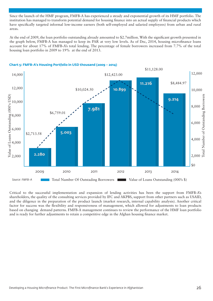Since the launch of the HMF program, FMFB-A has experienced a steady and exponential growth of its HMF portfolio. The institution has managed to transform potential demand for housing finance into an actual supply of financial products which have specifically targeted informal low-income earners (both self-employed and salaried employees) from urban and rural areas.

At the end of 2009, the loan portfolio outstanding already amounted to \$2.7million. With the significant growth presented in the graph below, FMFB-A has managed to keep its PAR at very low levels. As of Dec, 2014, housing microfinance loans account for about 17% of FMFB-A's total lending. The percentage of female borrowers increased from 7.7% of the total housing loan portfolio in 2009 to 19% at the end of 2013.



#### **Chart 5: FMFB-A's Housing Portfolio in USD thousand (2009 – 2014)**

Critical to the successful implementation and expansion of lending activities has been the support from FMFB-A's shareholders, the quality of the consulting services provided by IFC and AKPBS, support from other partners such as USAID, and the diligence in the preparation of the product launch (market research, internal capability analysis). Another critical factor for success was the flexibility and responsiveness of management, which allowed for adjustments to loan products based on changing demand patterns. FMFB-A management continues to review the performance of the HMF loan portfolio and is ready for further adjustments to retain a competitive edge in the Afghan housing finance market.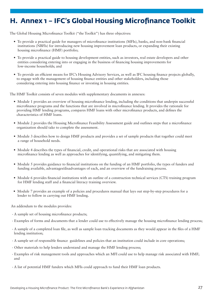## **H. Annex 1 – IFC's Global Housing Microfinance Toolkit**

The Global Housing Microfinance Toolkit ("the Toolkit") has three objectives:

- To provide a practical guide for managers of microfinance institutions (MFIs), banks, and non-bank financial institutions (NBFIs) for introducing new housing improvement loan products, or expanding their existing housing microfinance (HMF) portfolio;
- To provide a practical guide to housing development entities, such as investors, real estate developers and other entities considering entering into or engaging in the business of financing housing improvements for low-income households; and
- To provide an efficient means for IFC's Housing Advisory Services, as well as IFC housing finance projects globally, to engage with the management of housing finance entities and other stakeholders, including those considering entering into housing finance or investing in housing entities.

The HMF Toolkit consists of seven modules with supplementary documents in annexes:

- Module 1 provides an overview of housing microfinance lending, including the conditions that underpin successful microfinance programs and the functions that are involved in microfinance lending. It provides the rationale for providing HMF lending programs, compares HMF loans with other microfinance products, and defines the characteristics of HMF loans.
- Module 2 provides the Housing Microfinance Feasibility Assessment guide and outlines steps that a microfinance organization should take to complete the assessment.
- Module 3 describes how to design HMF products and provides a set of sample products that together could meet a range of household needs.
- Module 4 describes the types of financial, credit, and operational risks that are associated with housing microfinance lending as well as approaches for identifying, quantifying, and mitigating them.
- Module 5 provides guidance to financial institutions on the funding of an HMF portfolio, the types of funders and funding available, advantages/disadvantages of each, and an overview of the fundraising process.
- Module 6 provides financial institutions with an outline of a construction technical services (CTS) training program for HMF lending staff and a financial literacy training overview.
- Module 7 provides an example of a policies and procedures manual that lays out step-by-step procedures for a lender to follow in carrying out HMF lending.

An addendum to the modules provides:

- A sample set of housing microfinance products:
- Examples of forms and documents that a lender could use to effectively manage the housing microfinance lending process;
- A sample of a completed loan file, as well as sample loan tracking documents as they would appear in the files of a HMF lending institution;
- A sample set of responsible finance guidelines and policies that an institution could include in core operations;
- Other materials to help lenders understand and manage the HMF lending process;
- Examples of risk management tools and approaches which an MFI could use to help manage risk associated with HMF; and
- A list of potential HMF funders which MFIs could approach to fund their HMF loan products.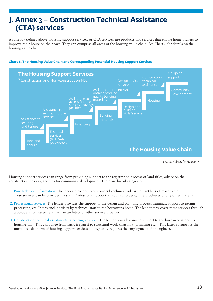## **J. Annex 3 – Construction Technical Assistance (CTA) services**

As already defined above, housing support services, or CTA services, are products and services that enable home owners to improve their house on their own. They can comprise all areas of the housing value chain. See Chart 6 for details on the housing value chain.



#### **Chart 6. The Housing Value Chain and Corresponding Potential Housing Support Services**

*Source: Habitat for Humanity*

Housing support services can range from providing support to the registration process of land titles, advice on the construction process, and tips for community development. There are broad categories:

- 1. Pure technical information. The lender provides to customers brochures, videos, contact lists of masons etc. These services can be provided by staff. Professional support is required to design the brochures or any other material.
- 2. Professional services. The lender provides the support to the design and planning process, trainings, support to permit processing, etc. It may include visits by technical staff to the borrower's home. The lender may cover these services through a co-operation agreement with an architect or other service providers.
- 3. Construction technical assistance/engineering advisory. The lender provides on-site support to the borrower at her/his housing unit. This can range from basic (repairs) to structural work (masonry, plumbing etc.). This latter category is the most intensive form of housing support services and typically requires the employment of an engineer.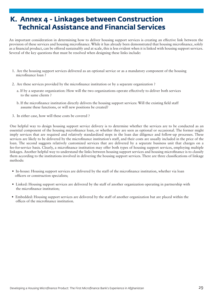## **K. Annex 4 - Linkages between Construction Technical Assistance and Financial Services**

An important consideration in determining how to deliver housing support services is creating an effective link between the provision of these services and housing microfinance. While it has already been demonstrated that housing microfinance, solely as a financial product, can be offered sustainably and at scale, this is less evident when it is linked with housing support services. Several of the key questions that must be resolved when designing these links include:

- 1. Are the housing support services delivered as an optional service or as a mandatory component of the housing microfinance loan?
- 2. Are these services provided by the microfinance institution or by a separate organization ?
	- a. If by a separate organization: How will the two organizations operate effectively to deliver both services to the same clients ?
	- b. If the microfinance institution directly delivers the housing support services: Will the existing field staff assume these functions, or will new positions be created?
- 3. In either case, how will these costs be covered ?

One helpful way to design housing support service delivery is to determine whether the services are to be conducted as an essential component of the housing microfinance loan, or whether they are seen as optional or occasional. The former might imply services that are required and relatively standardized steps in the loan due diligence and follow-up processes. These services are likely to be delivered by the microfinance institution's staff, and their costs are usually included in the price of the loan. The second suggests relatively customized services that are delivered by a separate business unit that charges on a fee-for-service basis. Clearly, a microfinance institution may offer both types of housing support services, employing multiple linkages. Another helpful way to understand the links between housing support services and housing microfinance is to classify them according to the institutions involved in delivering the housing support services. There are three classifications of linkage methods:

- In-house: Housing support services are delivered by the staff of the microfinance institution, whether via loan officers or construction specialists;
- Linked: Housing support services are delivered by the staff of another organization operating in partnership with the microfinance institution;
- Embedded: Housing support services are delivered by the staff of another organization but are placed within the offices of the microfinance institution.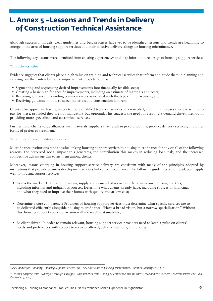## **L. Annex 5 –Lessons and Trends in Delivery of Construction Technical Assistance**

Although successful models, clear guidelines and best practices have yet to be identified. lessons and trends are beginning to emerge in the area of housing support services and their effective delivery alongside housing microfinance.

The following key lessons were identified from existing experience,<sup>25</sup> and may inform future design of housing support services:

#### What clients value:

Evidence suggests that clients place a high value on training and technical services that inform and guide them in planning and carrying out their intended home improvement projects, such as:

- Segmenting and sequencing desired improvements into financially feasible steps;
- Creating a basic plan for specific improvements, including an estimate of materials and costs;
- Receiving guidance in avoiding common errors associated with the type of improvement; and
- Receiving guidance in how to select materials and construction laborers.

Clients also appreciate having access to more qualified technical services when needed, and in many cases they are willing to pay for these, provided they are not mandatory but optional. This suggests the need for creating a demand-driven method of providing more specialized and customized services.

Furthermore, clients value alliances with materials suppliers that result in price discounts, product delivery services, and other forms of preferred treatment.

#### What microfinance institutions value:

Microfinance institutions tend to value linking housing support services to housing microfinance for any or all of the following reasons: the perceived social impact this generates, the contribution this makes in reducing loan risk, and the increased competitive advantage this earns them among clients.

Moreover, lessons emerging in housing support service delivery are consistent with many of the principles adopted by institutions that provide business development services linked to microfinance. The following guidelines, slightly adapted, apply well to housing support services.<sup>26</sup>

- Assess the market: Learn about existing supply and demand of services in the low-income housing markets, including informal and indigenous sources. Determine what clients already have, including sources of nancing, and what they need to improve their homes with quality and at low cost;
- Determine a core competency: Providers of housing support services must determine what specific services are to be delivered efficiently alongside housing microfinance. "Have a broad vision, but a narrow specialization." Without this, housing support service provision will not reach sustainability;
- Be client-driven: In order to remain relevant, housing support service providers need to keep a pulse on clients' needs and preferences with respect to services offered, delivery methods, and pricing.

*<sup>25</sup>See Habitat for Humanity, "Housing Support Services: Do They Add Value to Housing Microfinance?" Atlanta, January 2013, p. 8*

<sup>&</sup>lt;sup>26</sup> Lessons adapted from "Synergies through Linkages: Who benefits from Linking Microfinance and Business Development Services", MertenSievers and Paul *Vandenberg, 2007.*